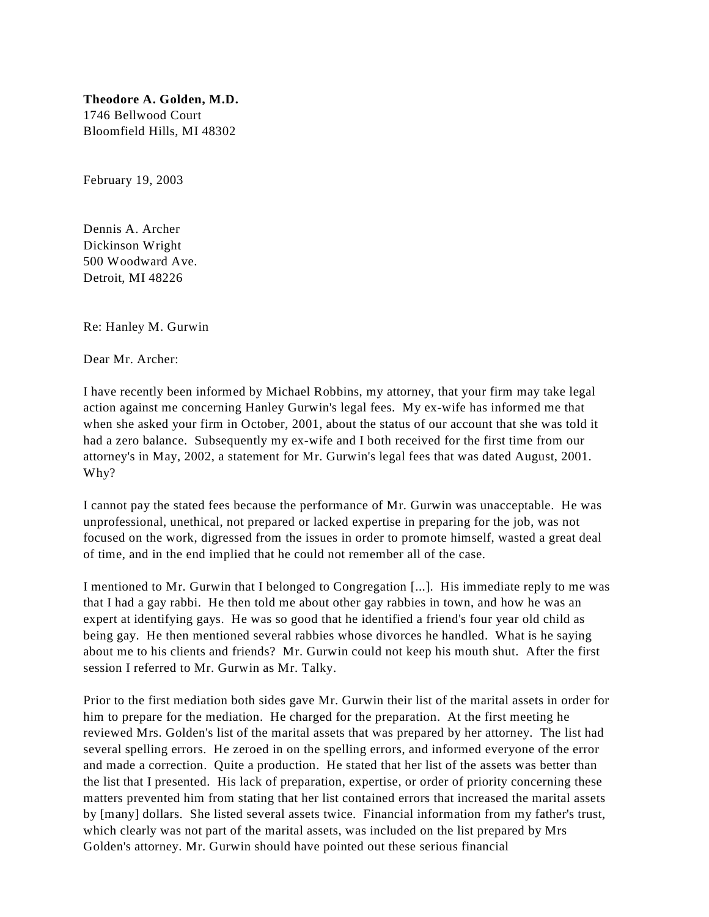**Theodore A. Golden, M.D.** 1746 Bellwood Court Bloomfield Hills, MI 48302

February 19, 2003

Dennis A. Archer Dickinson Wright 500 Woodward Ave. Detroit, MI 48226

Re: Hanley M. Gurwin

Dear Mr. Archer:

I have recently been informed by Michael Robbins, my attorney, that your firm may take legal action against me concerning Hanley Gurwin's legal fees. My ex-wife has informed me that when she asked your firm in October, 2001, about the status of our account that she was told it had a zero balance. Subsequently my ex-wife and I both received for the first time from our attorney's in May, 2002, a statement for Mr. Gurwin's legal fees that was dated August, 2001. Why?

I cannot pay the stated fees because the performance of Mr. Gurwin was unacceptable. He was unprofessional, unethical, not prepared or lacked expertise in preparing for the job, was not focused on the work, digressed from the issues in order to promote himself, wasted a great deal of time, and in the end implied that he could not remember all of the case.

I mentioned to Mr. Gurwin that I belonged to Congregation [...]. His immediate reply to me was that I had a gay rabbi. He then told me about other gay rabbies in town, and how he was an expert at identifying gays. He was so good that he identified a friend's four year old child as being gay. He then mentioned several rabbies whose divorces he handled. What is he saying about me to his clients and friends? Mr. Gurwin could not keep his mouth shut. After the first session I referred to Mr. Gurwin as Mr. Talky.

Prior to the first mediation both sides gave Mr. Gurwin their list of the marital assets in order for him to prepare for the mediation. He charged for the preparation. At the first meeting he reviewed Mrs. Golden's list of the marital assets that was prepared by her attorney. The list had several spelling errors. He zeroed in on the spelling errors, and informed everyone of the error and made a correction. Quite a production. He stated that her list of the assets was better than the list that I presented. His lack of preparation, expertise, or order of priority concerning these matters prevented him from stating that her list contained errors that increased the marital assets by [many] dollars. She listed several assets twice. Financial information from my father's trust, which clearly was not part of the marital assets, was included on the list prepared by Mrs Golden's attorney. Mr. Gurwin should have pointed out these serious financial